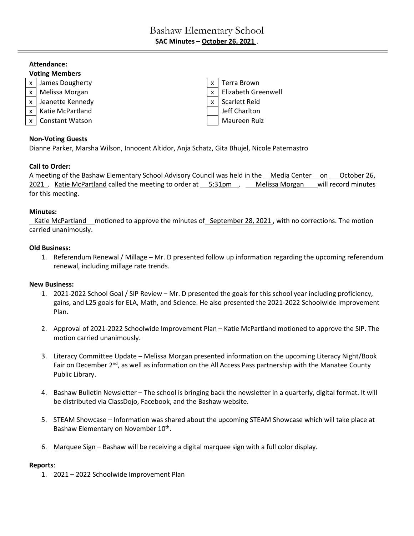# **Attendance: Voting Members** x | James Dougherty  $x \mid x$  | Terra Brown  $x \mid$  Melissa Morgan  $\mid x \mid$  Elizabeth Greenwell x | Jeanette Kennedy  $\vert x \vert$  Scarlett Reid x | Katie McPartland Jeff Charlton x | Constant Watson Maureen Ruiz

## **Non-Voting Guests**

Dianne Parker, Marsha Wilson, Innocent Altidor, Anja Schatz, Gita Bhujel, Nicole Paternastro

# **Call to Order:**

A meeting of the Bashaw Elementary School Advisory Council was held in the Media Center on October 26, 2021 . Katie McPartland called the meeting to order at 5:31pm . Melissa Morgan will record minutes for this meeting.

# **Minutes:**

Katie McPartland motioned to approve the minutes of September 28, 2021, with no corrections. The motion carried unanimously.

# **Old Business:**

1. Referendum Renewal / Millage – Mr. D presented follow up information regarding the upcoming referendum renewal, including millage rate trends.

## **New Business:**

- 1. 2021-2022 School Goal / SIP Review Mr. D presented the goals for this school year including proficiency, gains, and L25 goals for ELA, Math, and Science. He also presented the 2021-2022 Schoolwide Improvement Plan.
- 2. Approval of 2021-2022 Schoolwide Improvement Plan Katie McPartland motioned to approve the SIP. The motion carried unanimously.
- 3. Literacy Committee Update Melissa Morgan presented information on the upcoming Literacy Night/Book Fair on December 2<sup>nd</sup>, as well as information on the All Access Pass partnership with the Manatee County Public Library.
- 4. Bashaw Bulletin Newsletter The school is bringing back the newsletter in a quarterly, digital format. It will be distributed via ClassDojo, Facebook, and the Bashaw website.
- 5. STEAM Showcase Information was shared about the upcoming STEAM Showcase which will take place at Bashaw Elementary on November 10<sup>th</sup>.
- 6. Marquee Sign Bashaw will be receiving a digital marquee sign with a full color display.

## **Reports**:

1. 2021 – 2022 Schoolwide Improvement Plan